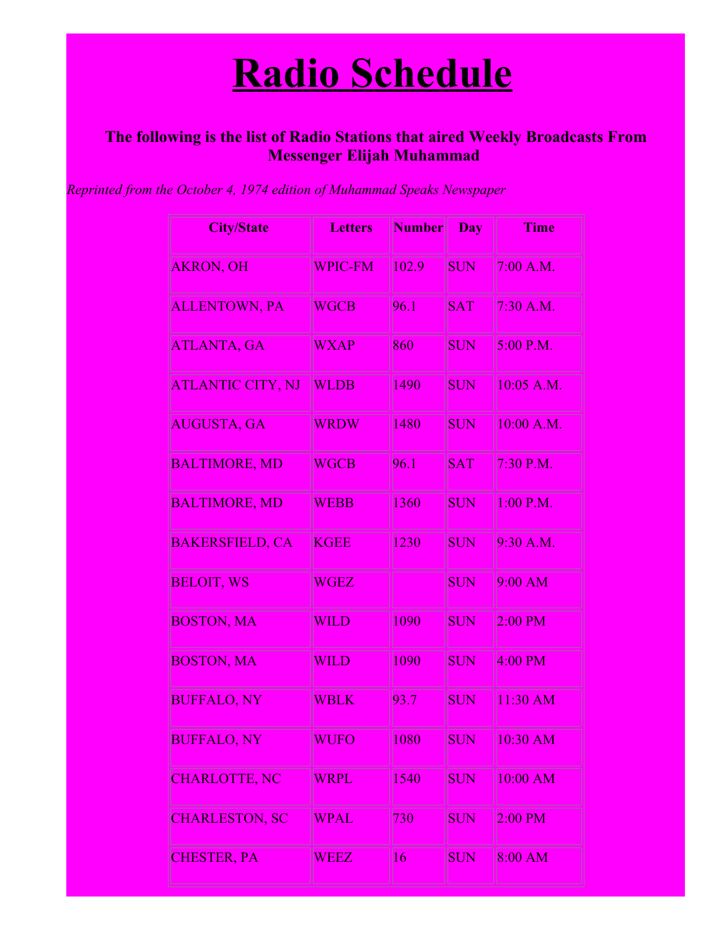## **Radio Schedule**

## **The following is the list of Radio Stations that aired Weekly Broadcasts From Messenger Elijah Muhammad**

*Reprinted from the October 4, 1974 edition of Muhammad Speaks Newspaper*

| <b>City/State</b>        | <b>Letters</b> | <b>Number</b> | <b>Day</b> | <b>Time</b>          |
|--------------------------|----------------|---------------|------------|----------------------|
| <b>AKRON, OH</b>         | <b>WPIC-FM</b> | 102.9         | <b>SUN</b> | 7:00 A.M.            |
| <b>ALLENTOWN, PA</b>     | <b>WGCB</b>    | 96.1          | <b>SAT</b> | $7:30$ A.M.          |
| <b>ATLANTA, GA</b>       | <b>WXAP</b>    | 860           | <b>SUN</b> | 5:00 P.M.            |
| <b>ATLANTIC CITY, NJ</b> | <b>WLDB</b>    | 1490          | SUN        | 10:05 A.M.           |
| <b>AUGUSTA, GA</b>       | <b>WRDW</b>    | 1480          | <b>SUN</b> | 10:00 A.M.           |
| <b>BALTIMORE, MD</b>     | <b>WGCB</b>    | 96.1          | <b>SAT</b> | 7:30 P.M.            |
| <b>BALTIMORE, MD</b>     | <b>WEBB</b>    | 1360          | <b>SUN</b> | 1:00 P.M.            |
| <b>BAKERSFIELD, CA</b>   | <b>KGEE</b>    | 1230          | <b>SUN</b> | 9:30 A.M.            |
| <b>BELOIT, WS</b>        | <b>WGEZ</b>    |               | <b>SUN</b> | $9:00$ AM            |
| <b>BOSTON, MA</b>        | <b>WILD</b>    | 1090          | <b>SUN</b> | $2:00$ PM            |
| <b>BOSTON, MA</b>        | <b>WILD</b>    | 1090          | <b>SUN</b> | $4:00$ PM            |
| <b>BUFFALO, NY</b>       | <b>WBLK</b>    | 93.7          | <b>SUN</b> | 11:30 AM             |
| BUFFALO, NY              | WUFO           | 1080          | <b>SUN</b> | $10:30\;\mathbf{AM}$ |
| <b>CHARLOTTE, NC</b>     | WRPL           | 1540          | SUN        | 10:00 AM             |
| <b>CHARLESTON, SC</b>    | <b>WPAL</b>    | 730           | <b>SUN</b> | $2:00$ PM            |
| <b>CHESTER, PA</b>       | <b>WEEZ</b>    | 16            | SUN        | $8:00$ AM            |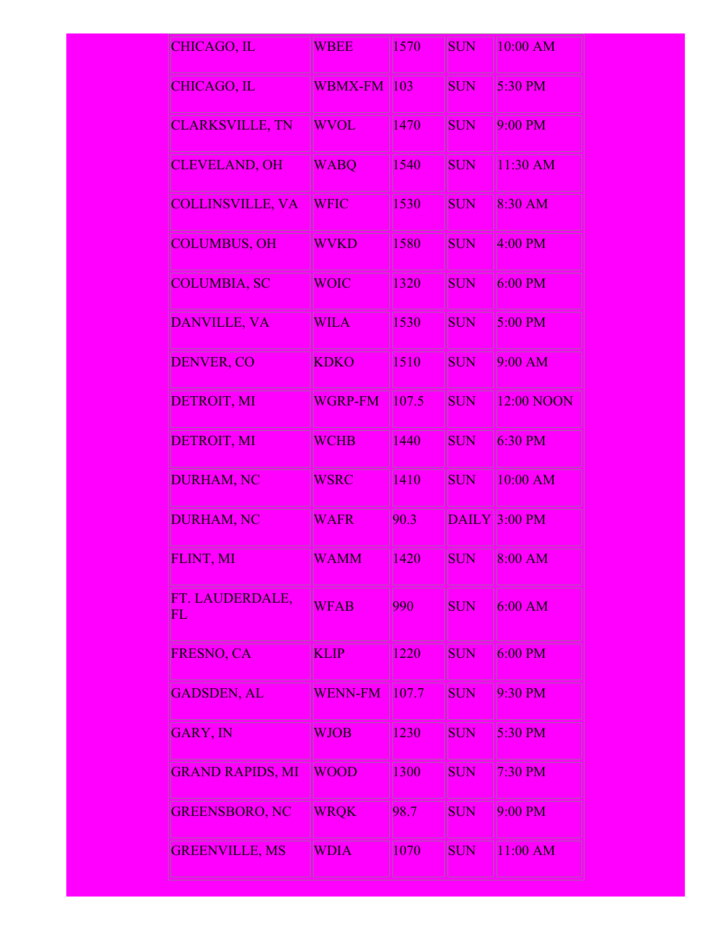| <b>CHICAGO, IL</b>                        | <b>WBEE</b>    | 1570               | <b>SUN</b> | 10:00 AM      |
|-------------------------------------------|----------------|--------------------|------------|---------------|
| CHICAGO, IL                               | <b>WBMX-FM</b> | 103                | <b>SUN</b> | 5:30 PM       |
| CLARKSVILLE, TN                           | <b>WVOL</b>    | 1470               | <b>SUN</b> | 9:00 PM       |
| <b>CLEVELAND, OH</b>                      | <b>WABQ</b>    | 1540               | <b>SUN</b> | $11:30$ AM    |
| <b>COLLINSVILLE, VA</b>                   | <b>WFIC</b>    | 1530               | <b>SUN</b> | 8:30 AM       |
| <b>COLUMBUS, OH</b>                       | <b>WVKD</b>    | 1580               | SUN        | $4:00$ PM     |
| <b>COLUMBIA, SC</b>                       | <b>WOIC</b>    | 1320               | <b>SUN</b> | $6:00$ PM     |
| <b>DANVILLE, VA</b>                       | <b>WILA</b>    | 1530               | <b>SUN</b> | 5:00 PM       |
| <b>DENVER, CO</b>                         | <b>KDKO</b>    | $\vert 1510 \vert$ | <b>SUN</b> | 9:00 AM       |
| <b>DETROIT, MI</b>                        | <b>WGRP-FM</b> | 107.5              | <b>SUN</b> | 12:00 NOON    |
| DETROIT, MI                               | <b>WCHB</b>    | 1440               | <b>SUN</b> | $6:30$ PM     |
| <b>DURHAM, NC</b>                         | <b>WSRC</b>    | 1410               | <b>SUN</b> | 10:00 AM      |
| <b>DURHAM, NC</b>                         | <b>WAFR</b>    | 90.3               |            | DAILY 3:00 PM |
| FLINT, MI                                 | <b>WAMM</b>    | 1420               | SUN        | 8:00 AM       |
| FT. LAUDERDALE,<br>$\overline{\text{FL}}$ | <b>WFAB</b>    | 990                | <b>SUN</b> | $6:00$ AM     |
| FRESNO, CA                                | <b>KLIP</b>    | 1220               | <b>SUN</b> | $6:00$ PM     |
| <b>GADSDEN, AL</b>                        | <b>WENN-FM</b> | 107.7              | <b>SUN</b> | 9:30 PM       |
| <b>GARY, IN</b>                           | <b>WJOB</b>    | 1230               | <b>SUN</b> | 5:30 PM       |
| <b>GRAND RAPIDS, MI</b>                   | <b>WOOD</b>    | 1300               | <b>SUN</b> | 7:30 PM       |
| <b>GREENSBORO, NC</b>                     | <b>WRQK</b>    | 98.7               | <b>SUN</b> | 9:00 PM       |
| <b>GREENVILLE, MS</b>                     | <b>WDIA</b>    | 1070               | SUN        | 11:00 AM      |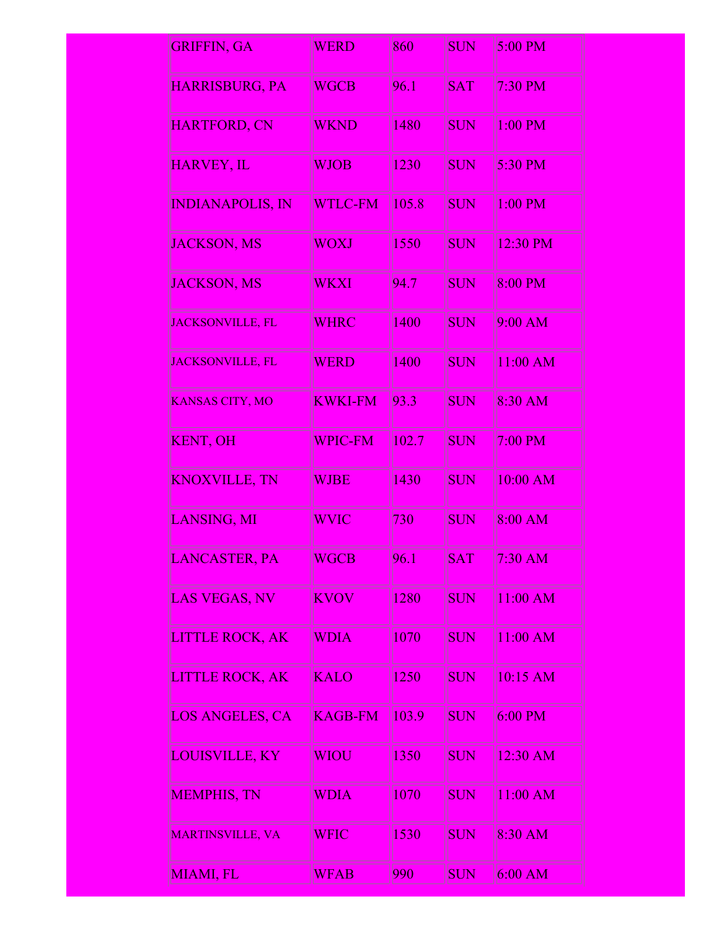| <b>GRIFFIN, GA</b>      | <b>WERD</b>    | 860   | <b>SUN</b> | 5:00 PM    |
|-------------------------|----------------|-------|------------|------------|
| <b>HARRISBURG, PA</b>   | <b>WGCB</b>    | 96.1  | <b>SAT</b> | 7:30 PM    |
| <b>HARTFORD, CN</b>     | <b>WKND</b>    | 1480  | <b>SUN</b> | 1:00 PM    |
| <b>HARVEY, IL</b>       | <b>WJOB</b>    | 1230  | <b>SUN</b> | $5:30$ PM  |
| <b>INDIANAPOLIS, IN</b> | <b>WTLC-FM</b> | 105.8 | <b>SUN</b> | 1:00 PM    |
| JACKSON, MS             | <b>WOXJ</b>    | 1550  | <b>SUN</b> | 12:30 PM   |
| <b>JACKSON, MS</b>      | WKXI           | 94.7  | <b>SUN</b> | 8:00 PM    |
| JACKSONVILLE, FL        | <b>WHRC</b>    | 1400  | <b>SUN</b> | 9:00 AM    |
| <b>JACKSONVILLE, FL</b> | <b>WERD</b>    | 1400  | <b>SUN</b> | 11:00 AM   |
| <b>KANSAS CITY, MO</b>  | <b>KWKI-FM</b> | 93.3  | <b>SUN</b> | 8:30 AM    |
| <b>KENT, OH</b>         | <b>WPIC-FM</b> | 102.7 | <b>SUN</b> | 7:00 PM    |
| <b>KNOXVILLE, TN</b>    | <b>WJBE</b>    | 1430  | <b>SUN</b> | 10:00 AM   |
| LANSING, MI             | <b>WVIC</b>    | 730   | <b>SUN</b> | $8:00$ AM  |
| <b>LANCASTER, PA</b>    | <b>WGCB</b>    | 96.1  | <b>SAT</b> | 7:30 AM    |
| LAS VEGAS, NV           | <b>KVOV</b>    | 1280  | <b>SUN</b> | 11:00 AM   |
| <b>LITTLE ROCK, AK</b>  | <b>WDIA</b>    | 1070  | <b>SUN</b> | $11:00$ AM |
| <b>LITTLE ROCK, AK</b>  | <b>KALO</b>    | 1250  | <b>SUN</b> | 10:15 AM   |
| <b>LOS ANGELES, CA</b>  | <b>KAGB-FM</b> | 103.9 | <b>SUN</b> | $6:00$ PM  |
| <b>LOUISVILLE, KY</b>   | WIOU           | 1350  | <b>SUN</b> | 12:30 AM   |
| <b>MEMPHIS, TN</b>      | WDIA           | 1070  | <b>SUN</b> | 11:00 AM   |
| <b>MARTINSVILLE, VA</b> | WFIC           | 1530  | <b>SUN</b> | 8:30 AM    |
| MIAMI, FL               | <b>WFAB</b>    | 990   | <b>SUN</b> | 6:00 AM    |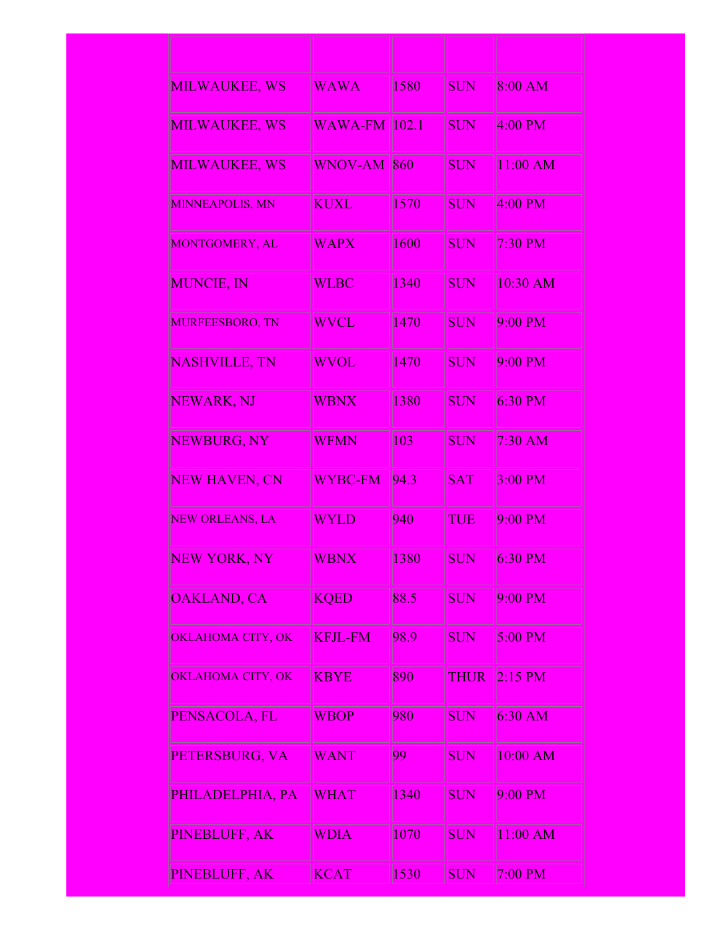| <b>MILWAUKEE, WS</b>   | <b>WAWA</b>            | 1580 | SUN         | 8:00 AM   |
|------------------------|------------------------|------|-------------|-----------|
| <b>MILWAUKEE, WS</b>   | <b>WAWA-FM   102.1</b> |      | <b>SUN</b>  | 4:00 PM   |
| <b>MILWAUKEE, WS</b>   | <b>WNOV-AM</b>         | 860  | <b>SUN</b>  | 11:00 AM  |
| <b>MINNEAPOLIS, MN</b> | <b>KUXL</b>            | 1570 | <b>SUN</b>  | $4:00$ PM |
| <b>MONTGOMERY, AL</b>  | <b>WAPX</b>            | 1600 | SUN         | $7:30$ PM |
| <b>MUNCIE, IN</b>      | <b>WLBC</b>            | 1340 | <b>SUN</b>  | 10:30 AM  |
| <b>MURFEESBORO, TN</b> | <b>WVCL</b>            | 1470 | <b>SUN</b>  | 9:00 PM   |
| <b>NASHVILLE, TN</b>   | <b>WVOL</b>            | 1470 | <b>SUN</b>  | 9:00 PM   |
| NEWARK, NJ             | <b>WBNX</b>            | 1380 | <b>SUN</b>  | 6:30 PM   |
| NEWBURG, NY            | <b>WFMN</b>            | 103  | <b>SUN</b>  | 7:30 AM   |
| <b>NEW HAVEN, CN</b>   | <b>WYBC-FM</b>         | 94.3 | <b>SAT</b>  | 3:00 PM   |
| <b>NEW ORLEANS, LA</b> | <b>WYLD</b>            | 940  | TUE         | 9:00 PM   |
| <b>NEW YORK, NY</b>    | <b>WBNX</b>            | 1380 | <b>SUN</b>  | 6:30 PM   |
| <b>OAKLAND, CA</b>     | <b>KQED</b>            | 88.5 | <b>SUN</b>  | 9:00 PM   |
| OKLAHOMA CITY, OK      | <b>KFJL-FM</b>         | 98.9 | <b>SUN</b>  | 5:00 PM   |
| OKLAHOMA CITY, OK      | <b>KBYE</b>            | 890  | <b>THUR</b> | $2:15$ PM |
| PENSACOLA, FL          | <b>WBOP</b>            | 980  | <b>SUN</b>  | $6:30$ AM |
| PETERSBURG, VA         | <b>WANT</b>            | 99   | <b>SUN</b>  | 10:00 AM  |
| PHILADELPHIA, PA       | <b>WHAT</b>            | 1340 | <b>SUN</b>  | 9:00 PM   |
| PINEBLUFF, AK          | <b>WDIA</b>            | 1070 | <b>SUN</b>  | 11:00 AM  |
| PINEBLUFF, AK          | <b>KCAT</b>            | 1530 | <b>SUN</b>  | 7:00 PM   |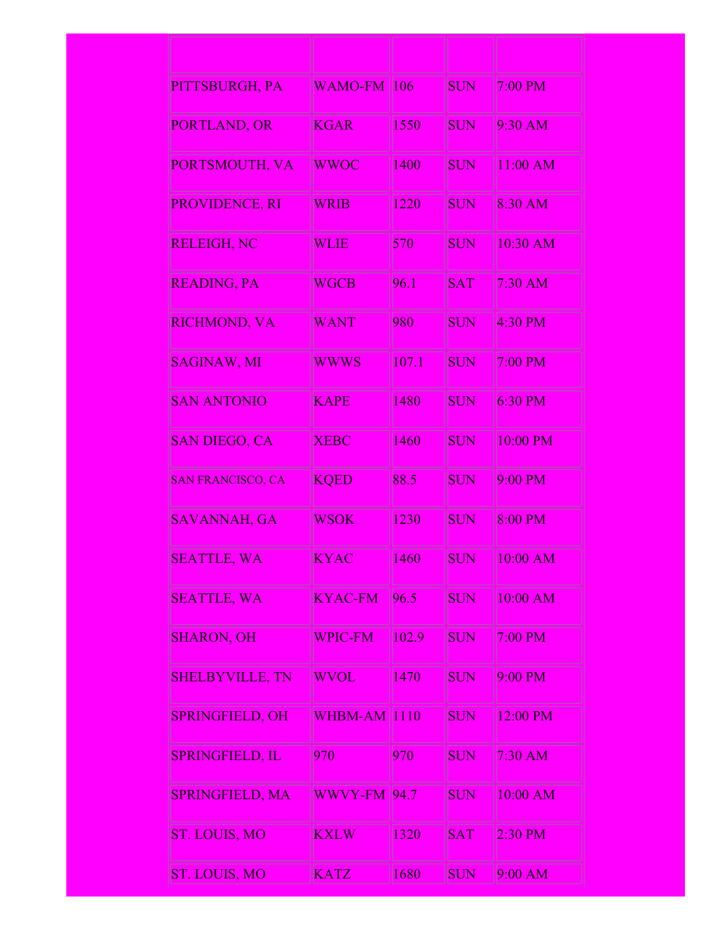| PITTSBURGH, PA           | <b>WAMO-FM</b> | 106   | <b>SUN</b> | $7:00$ PM  |
|--------------------------|----------------|-------|------------|------------|
| PORTLAND, OR             | <b>KGAR</b>    | 1550  | <b>SUN</b> | $9:30$ AM  |
| PORTSMOUTH, VA           | <b>WWOC</b>    | 1400  | <b>SUN</b> | 11:00 AM   |
| PROVIDENCE, RI           | <b>WRIB</b>    | 1220  | <b>SUN</b> | 8:30 AM    |
| <b>RELEIGH, NC</b>       | <b>WLIE</b>    | 570   | <b>SUN</b> | 10:30 AM   |
| READING, PA              | <b>WGCB</b>    | 96.1  | <b>SAT</b> | $7:30$ AM  |
| <b>RICHMOND, VA</b>      | <b>WANT</b>    | 980   | SUN        | $4:30$ PM  |
| <b>SAGINAW, MI</b>       | <b>WWWS</b>    | 107.1 | <b>SUN</b> | $7:00$ PM  |
| <b>SAN ANTONIO</b>       | <b>KAPE</b>    | 1480  | SUN        | $6:30$ PM  |
| <b>SAN DIEGO, CA</b>     | <b>XEBC</b>    | 1460  | <b>SUN</b> | 10:00 PM   |
| <b>SAN FRANCISCO, CA</b> | <b>KQED</b>    | 88.5  | <b>SUN</b> | 9:00 PM    |
| <b>SAVANNAH, GA</b>      | <b>WSOK</b>    | 1230  | SUN        | 8:00 PM    |
| <b>SEATTLE, WA</b>       | <b>KYAC</b>    | 1460  | SUN        | 10:00 AM   |
| <b>SEATTLE, WA</b>       | <b>KYAC-FM</b> | 96.5  | SUN        | $10:00$ AM |
| <b>SHARON, OH</b>        | <b>WPIC-FM</b> | 102.9 | <b>SUN</b> | 7:00 PM    |
| <b>SHELBYVILLE, TN</b>   | <b>WVOL</b>    | 1470  | <b>SUN</b> | $9:00$ PM  |
| <b>SPRINGFIELD, OH</b>   | WHBM-AM 110    |       | <b>SUN</b> | 12:00 PM   |
| <b>SPRINGFIELD, IL</b>   | 970            | 970   | <b>SUN</b> | $7:30$ AM  |
| <b>SPRINGFIELD, MA</b>   | <b>WWVY-FM</b> | 94.7  | SUN        | $10:00$ AM |
| ST. LOUIS, MO            | <b>KXLW</b>    | 1320  | <b>SAT</b> | 2:30 PM    |
| ST. LOUIS, MO            | <b>KATZ</b>    | 1680  | <b>SUN</b> | $9:00$ AM  |